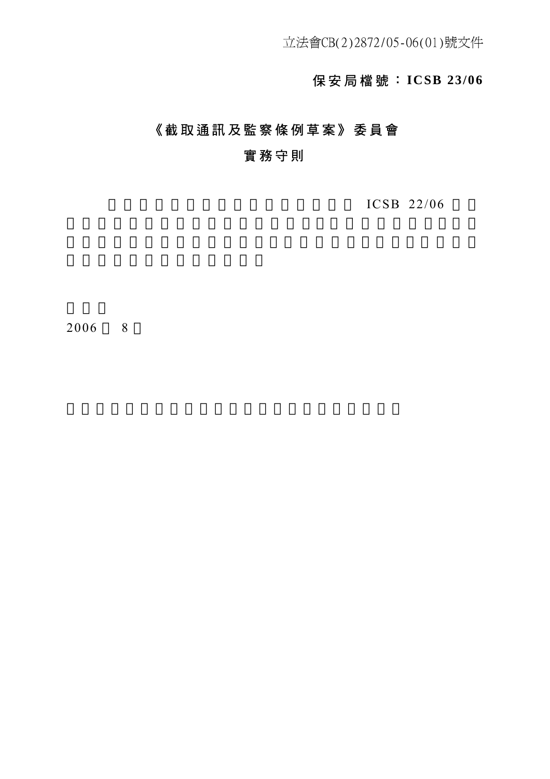# 保安局檔號: **ICSB 23/06**

# 《截取通訊及監察條例草案》委員會

# 實務守則

 $ICSB$  22/06

2006 8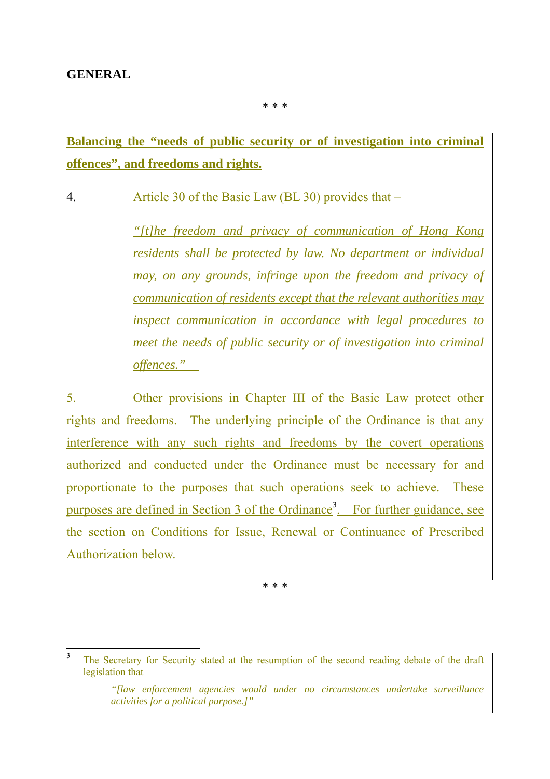#### **GENERAL**

 $\overline{a}$ 

\* \* \*

# **Balancing the "needs of public security or of investigation into criminal offences", and freedoms and rights.**

4. Article 30 of the Basic Law (BL 30) provides that –

*"[t]he freedom and privacy of communication of Hong Kong residents shall be protected by law. No department or individual may, on any grounds, infringe upon the freedom and privacy of communication of residents except that the relevant authorities may inspect communication in accordance with legal procedures to meet the needs of public security or of investigation into criminal offences."* 

5. Other provisions in Chapter III of the Basic Law protect other rights and freedoms. The underlying principle of the Ordinance is that any interference with any such rights and freedoms by the covert operations authorized and conducted under the Ordinance must be necessary for and proportionate to the purposes that such operations seek to achieve. These purposes are defined in Section 3 of the Ordinance<sup>3</sup>. For further guidance, see the section on Conditions for Issue, Renewal or Continuance of Prescribed Authorization below.

\* \* \*

<sup>3</sup> The Secretary for Security stated at the resumption of the second reading debate of the draft legislation that

*<sup>&</sup>quot;[law enforcement agencies would under no circumstances undertake surveillance activities for a political purpose.]"*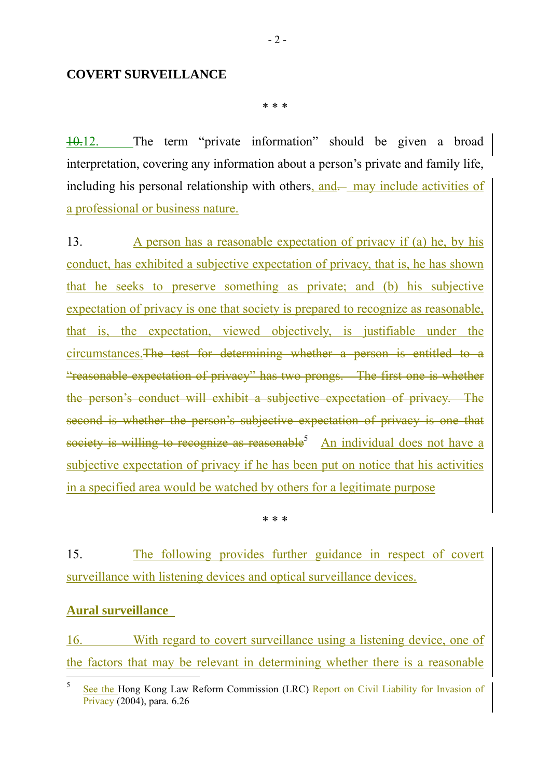#### **COVERT SURVEILLANCE**

\* \* \*

10.12. The term "private information" should be given a broad interpretation, covering any information about a person's private and family life, including his personal relationship with others, and— may include activities of a professional or business nature.

13. A person has a reasonable expectation of privacy if (a) he, by his conduct, has exhibited a subjective expectation of privacy, that is, he has shown that he seeks to preserve something as private; and (b) his subjective expectation of privacy is one that society is prepared to recognize as reasonable, that is, the expectation, viewed objectively, is justifiable under the circumstances.The test for determining whether a person is entitled to a "reasonable expectation of privacy" has two prongs. The first one is whether the person's conduct will exhibit a subjective expectation of privacy. The second is whether the person's subjective expectation of privacy is one that society is willing to recognize as reasonable<sup>5</sup> An individual does not have a subjective expectation of privacy if he has been put on notice that his activities in a specified area would be watched by others for a legitimate purpose

\* \* \*

15. The following provides further guidance in respect of covert surveillance with listening devices and optical surveillance devices.

#### **Aural surveillance**

16. With regard to covert surveillance using a listening device, one of the factors that may be relevant in determining whether there is a reasonable

 $\frac{1}{5}$  See the Hong Kong Law Reform Commission (LRC) Report on Civil Liability for Invasion of Privacy (2004), para. 6.26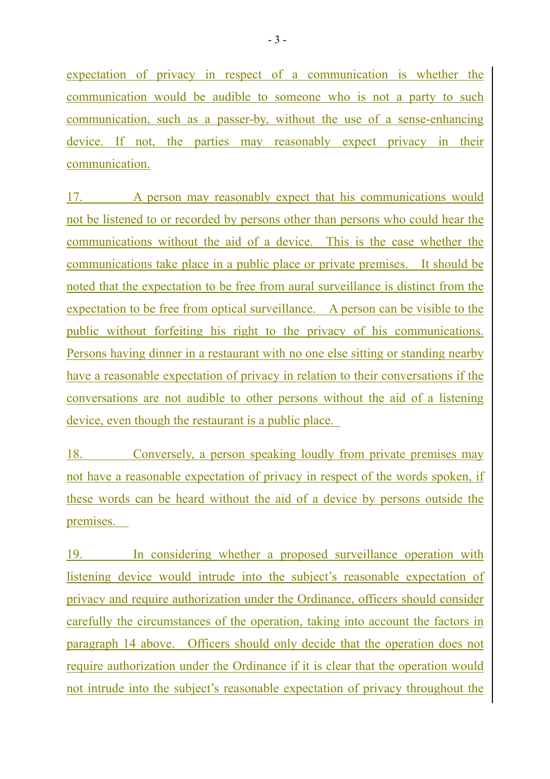expectation of privacy in respect of a communication is whether the communication would be audible to someone who is not a party to such communication, such as a passer-by, without the use of a sense-enhancing device. If not, the parties may reasonably expect privacy in their communication.

17. A person may reasonably expect that his communications would not be listened to or recorded by persons other than persons who could hear the communications without the aid of a device. This is the case whether the communications take place in a public place or private premises. It should be noted that the expectation to be free from aural surveillance is distinct from the expectation to be free from optical surveillance. A person can be visible to the public without forfeiting his right to the privacy of his communications. Persons having dinner in a restaurant with no one else sitting or standing nearby have a reasonable expectation of privacy in relation to their conversations if the conversations are not audible to other persons without the aid of a listening device, even though the restaurant is a public place.

18. Conversely, a person speaking loudly from private premises may not have a reasonable expectation of privacy in respect of the words spoken, if these words can be heard without the aid of a device by persons outside the premises.

19. In considering whether a proposed surveillance operation with listening device would intrude into the subject's reasonable expectation of privacy and require authorization under the Ordinance, officers should consider carefully the circumstances of the operation, taking into account the factors in paragraph 14 above. Officers should only decide that the operation does not require authorization under the Ordinance if it is clear that the operation would not intrude into the subject's reasonable expectation of privacy throughout the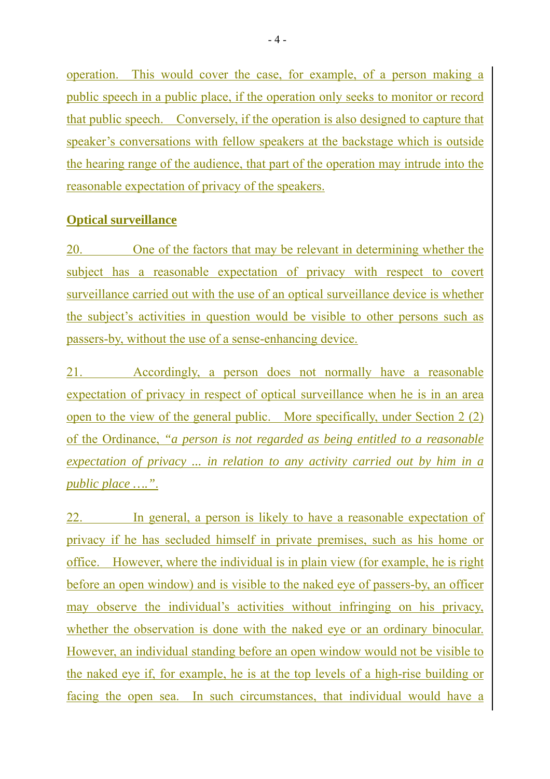operation. This would cover the case, for example, of a person making a public speech in a public place, if the operation only seeks to monitor or record that public speech. Conversely, if the operation is also designed to capture that speaker's conversations with fellow speakers at the backstage which is outside the hearing range of the audience, that part of the operation may intrude into the reasonable expectation of privacy of the speakers.

### **Optical surveillance**

20. One of the factors that may be relevant in determining whether the subject has a reasonable expectation of privacy with respect to covert surveillance carried out with the use of an optical surveillance device is whether the subject's activities in question would be visible to other persons such as passers-by, without the use of a sense-enhancing device.

21. Accordingly, a person does not normally have a reasonable expectation of privacy in respect of optical surveillance when he is in an area open to the view of the general public. More specifically, under Section 2 (2) of the Ordinance, *"a person is not regarded as being entitled to a reasonable expectation of privacy ... in relation to any activity carried out by him in a public place …."*.

22. In general, a person is likely to have a reasonable expectation of privacy if he has secluded himself in private premises, such as his home or office. However, where the individual is in plain view (for example, he is right before an open window) and is visible to the naked eye of passers-by, an officer may observe the individual's activities without infringing on his privacy, whether the observation is done with the naked eye or an ordinary binocular. However, an individual standing before an open window would not be visible to the naked eye if, for example, he is at the top levels of a high-rise building or facing the open sea. In such circumstances, that individual would have a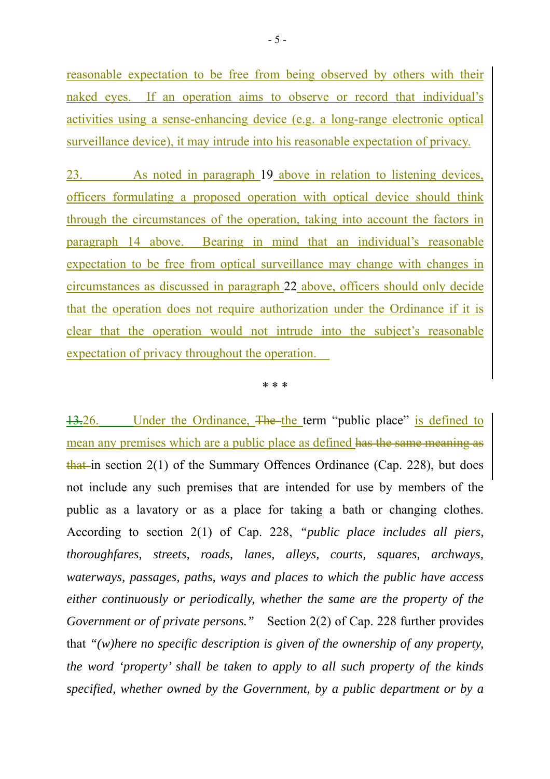reasonable expectation to be free from being observed by others with their naked eyes. If an operation aims to observe or record that individual's activities using a sense-enhancing device (e.g. a long-range electronic optical surveillance device), it may intrude into his reasonable expectation of privacy.

23. As noted in paragraph 19 above in relation to listening devices, officers formulating a proposed operation with optical device should think through the circumstances of the operation, taking into account the factors in paragraph 14 above. Bearing in mind that an individual's reasonable expectation to be free from optical surveillance may change with changes in circumstances as discussed in paragraph 22 above, officers should only decide that the operation does not require authorization under the Ordinance if it is clear that the operation would not intrude into the subject's reasonable expectation of privacy throughout the operation.

\* \* \*

13.26. Under the Ordinance, The the term "public place" is defined to mean any premises which are a public place as defined has the same meaning as that in section  $2(1)$  of the Summary Offences Ordinance (Cap. 228), but does not include any such premises that are intended for use by members of the public as a lavatory or as a place for taking a bath or changing clothes. According to section 2(1) of Cap. 228, *"public place includes all piers, thoroughfares, streets, roads, lanes, alleys, courts, squares, archways, waterways, passages, paths, ways and places to which the public have access either continuously or periodically, whether the same are the property of the Government or of private persons."* Section 2(2) of Cap. 228 further provides that *"(w)here no specific description is given of the ownership of any property, the word 'property' shall be taken to apply to all such property of the kinds specified, whether owned by the Government, by a public department or by a*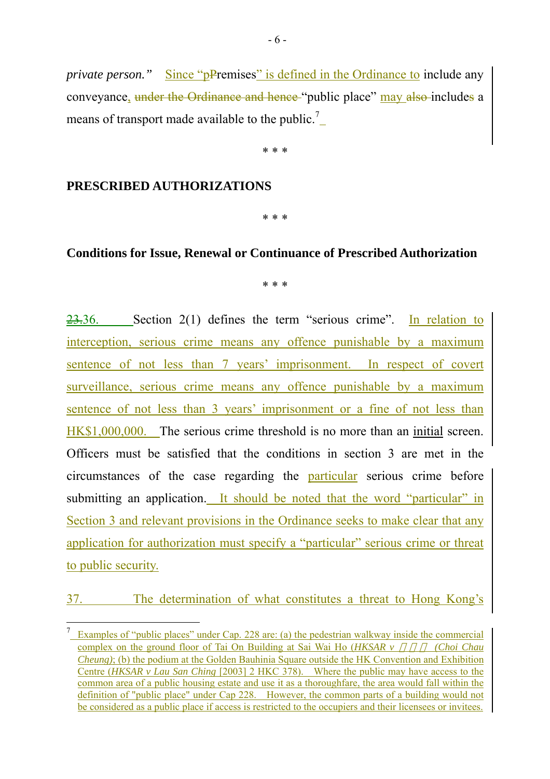*private person.*" Since "pPremises" is defined in the Ordinance to include any conveyance, under the Ordinance and hence "public place" may also includes a means of transport made available to the public.<sup>7</sup>

\* \* \*

#### **PRESCRIBED AUTHORIZATIONS**

\* \* \*

#### **Conditions for Issue, Renewal or Continuance of Prescribed Authorization**

\* \* \*

23.36. Section 2(1) defines the term "serious crime". In relation to interception, serious crime means any offence punishable by a maximum sentence of not less than 7 years' imprisonment. In respect of covert surveillance, serious crime means any offence punishable by a maximum sentence of not less than 3 years' imprisonment or a fine of not less than HK\$1,000,000. The serious crime threshold is no more than an initial screen. Officers must be satisfied that the conditions in section 3 are met in the circumstances of the case regarding the particular serious crime before submitting an application. It should be noted that the word "particular" in Section 3 and relevant provisions in the Ordinance seeks to make clear that any application for authorization must specify a "particular" serious crime or threat to public security.

37. The determination of what constitutes a threat to Hong Kong's

<sup>&</sup>lt;sup>7</sup> Examples of "public places" under Cap. 228 are: (a) the pedestrian walkway inside the commercial complex on the ground floor of Tai On Building at Sai Wai Ho (*HKSAR v* (*Choi Chau*) *Cheung)*; (b) the podium at the Golden Bauhinia Square outside the HK Convention and Exhibition Centre (*HKSAR v Lau San Ching* [2003] 2 HKC 378). Where the public may have access to the common area of a public housing estate and use it as a thoroughfare, the area would fall within the definition of "public place" under Cap 228. However, the common parts of a building would not be considered as a public place if access is restricted to the occupiers and their licensees or invitees.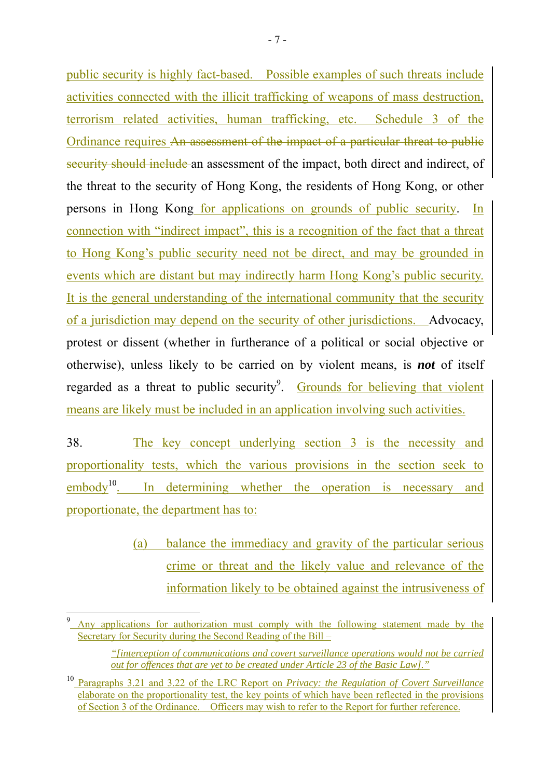public security is highly fact-based. Possible examples of such threats include activities connected with the illicit trafficking of weapons of mass destruction, terrorism related activities, human trafficking, etc. Schedule 3 of the Ordinance requires An assessment of the impact of a particular threat to public security should include an assessment of the impact, both direct and indirect, of the threat to the security of Hong Kong, the residents of Hong Kong, or other persons in Hong Kong for applications on grounds of public security. In connection with "indirect impact", this is a recognition of the fact that a threat to Hong Kong's public security need not be direct, and may be grounded in events which are distant but may indirectly harm Hong Kong's public security. It is the general understanding of the international community that the security of a jurisdiction may depend on the security of other jurisdictions. Advocacy, protest or dissent (whether in furtherance of a political or social objective or otherwise), unless likely to be carried on by violent means, is *not* of itself regarded as a threat to public security<sup>9</sup>. Grounds for believing that violent means are likely must be included in an application involving such activities.

38. The key concept underlying section 3 is the necessity and proportionality tests, which the various provisions in the section seek to embody<sup>10</sup>. In determining whether the operation is necessary and proportionate, the department has to:

> (a) balance the immediacy and gravity of the particular serious crime or threat and the likely value and relevance of the information likely to be obtained against the intrusiveness of

 $\overline{a}$ 

<sup>9</sup> Any applications for authorization must comply with the following statement made by the Secretary for Security during the Second Reading of the Bill –

*<sup>&</sup>quot;[interception of communications and covert surveillance operations would not be carried out for offences that are yet to be created under Article 23 of the Basic Law]."*

<sup>10</sup> Paragraphs 3.21 and 3.22 of the LRC Report on *Privacy: the Regulation of Covert Surveillance* elaborate on the proportionality test, the key points of which have been reflected in the provisions of Section 3 of the Ordinance. Officers may wish to refer to the Report for further reference.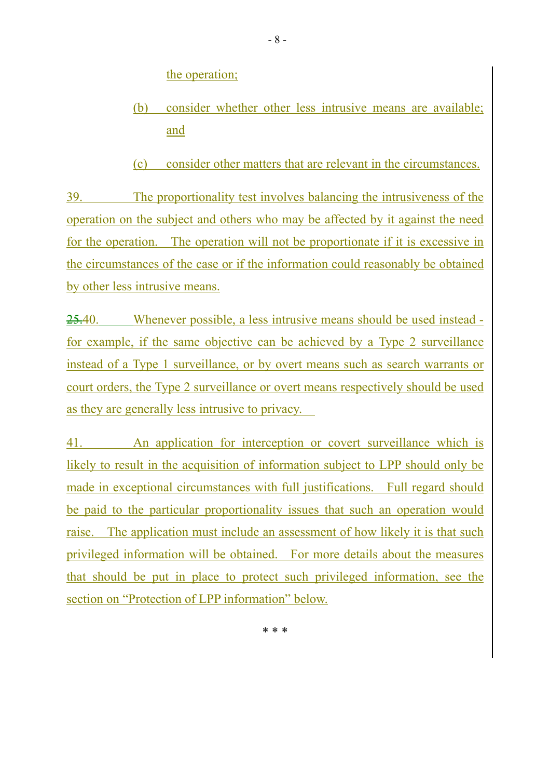the operation;

- (b) consider whether other less intrusive means are available; and
- (c) consider other matters that are relevant in the circumstances.

39. The proportionality test involves balancing the intrusiveness of the operation on the subject and others who may be affected by it against the need for the operation. The operation will not be proportionate if it is excessive in the circumstances of the case or if the information could reasonably be obtained by other less intrusive means.

25.40. Whenever possible, a less intrusive means should be used instead for example, if the same objective can be achieved by a Type 2 surveillance instead of a Type 1 surveillance, or by overt means such as search warrants or court orders, the Type 2 surveillance or overt means respectively should be used as they are generally less intrusive to privacy.

41. An application for interception or covert surveillance which is likely to result in the acquisition of information subject to LPP should only be made in exceptional circumstances with full justifications. Full regard should be paid to the particular proportionality issues that such an operation would raise. The application must include an assessment of how likely it is that such privileged information will be obtained. For more details about the measures that should be put in place to protect such privileged information, see the section on "Protection of LPP information" below.

\* \* \*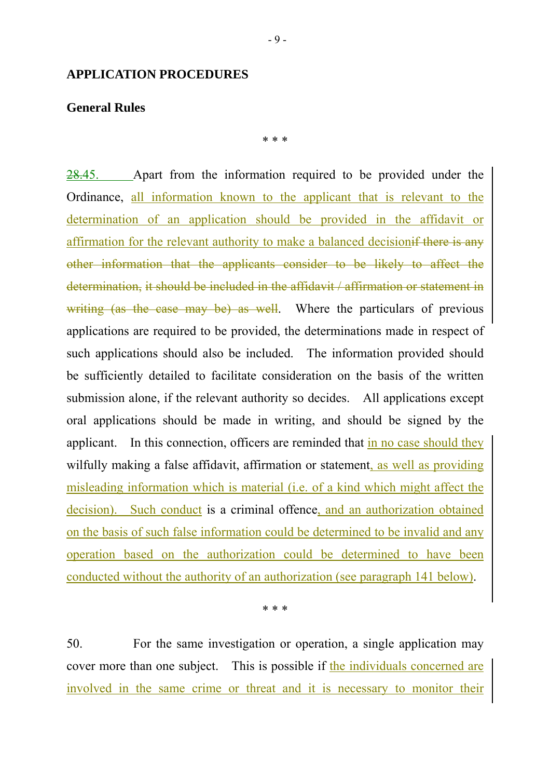#### **APPLICATION PROCEDURES**

#### **General Rules**

\* \* \*

28.45. Apart from the information required to be provided under the Ordinance, all information known to the applicant that is relevant to the determination of an application should be provided in the affidavit or affirmation for the relevant authority to make a balanced decisionif there is any other information that the applicants consider to be likely to affect the determination, it should be included in the affidavit / affirmation or statement in writing (as the case may be) as well. Where the particulars of previous applications are required to be provided, the determinations made in respect of such applications should also be included. The information provided should be sufficiently detailed to facilitate consideration on the basis of the written submission alone, if the relevant authority so decides. All applications except oral applications should be made in writing, and should be signed by the applicant. In this connection, officers are reminded that in no case should they wilfully making a false affidavit, affirmation or statement, as well as providing misleading information which is material (i.e. of a kind which might affect the decision). Such conduct is a criminal offence, and an authorization obtained on the basis of such false information could be determined to be invalid and any operation based on the authorization could be determined to have been conducted without the authority of an authorization (see paragraph 141 below).

\* \* \*

50. For the same investigation or operation, a single application may cover more than one subject. This is possible if the individuals concerned are involved in the same crime or threat and it is necessary to monitor their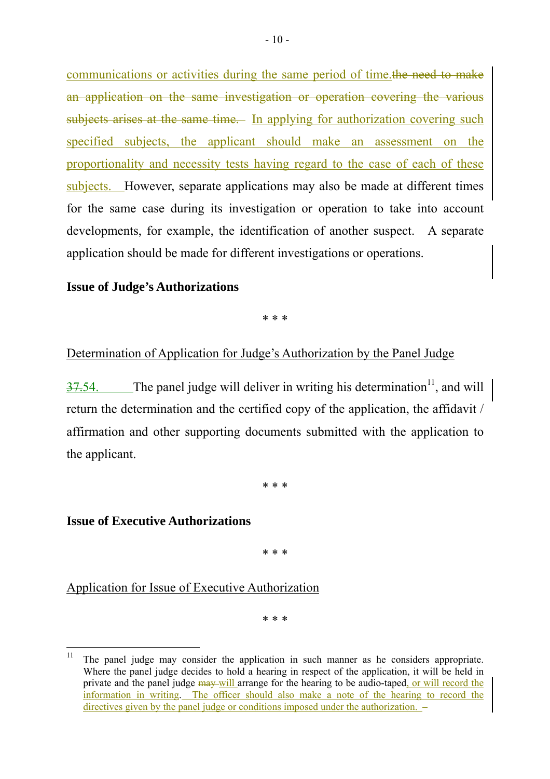communications or activities during the same period of time.the need to make an application on the same investigation or operation covering the various subjects arises at the same time. In applying for authorization covering such specified subjects, the applicant should make an assessment on the proportionality and necessity tests having regard to the case of each of these subjects. However, separate applications may also be made at different times for the same case during its investigation or operation to take into account developments, for example, the identification of another suspect. A separate application should be made for different investigations or operations.

#### **Issue of Judge's Authorizations**

\* \* \*

#### Determination of Application for Judge's Authorization by the Panel Judge

 $37.54$ . The panel judge will deliver in writing his determination<sup>11</sup>, and will return the determination and the certified copy of the application, the affidavit / affirmation and other supporting documents submitted with the application to the applicant.

\* \* \*

#### **Issue of Executive Authorizations**

\* \* \*

Application for Issue of Executive Authorization

\* \* \*

 $11$ 11 The panel judge may consider the application in such manner as he considers appropriate. Where the panel judge decides to hold a hearing in respect of the application, it will be held in private and the panel judge may will arrange for the hearing to be audio-taped, or will record the information in writing. The officer should also make a note of the hearing to record the directives given by the panel judge or conditions imposed under the authorization. -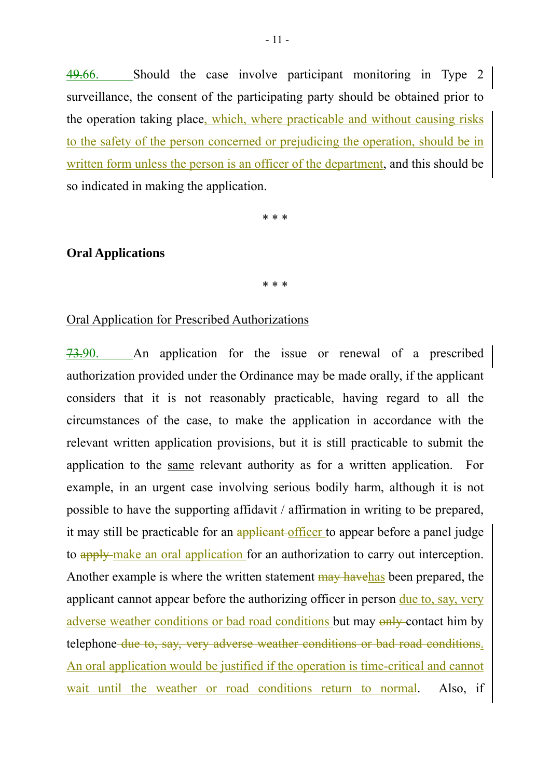49.66. Should the case involve participant monitoring in Type 2 surveillance, the consent of the participating party should be obtained prior to the operation taking place, which, where practicable and without causing risks to the safety of the person concerned or prejudicing the operation, should be in written form unless the person is an officer of the department, and this should be so indicated in making the application.

\* \* \*

#### **Oral Applications**

\* \* \*

#### Oral Application for Prescribed Authorizations

73.90. An application for the issue or renewal of a prescribed authorization provided under the Ordinance may be made orally, if the applicant considers that it is not reasonably practicable, having regard to all the circumstances of the case, to make the application in accordance with the relevant written application provisions, but it is still practicable to submit the application to the same relevant authority as for a written application. For example, in an urgent case involving serious bodily harm, although it is not possible to have the supporting affidavit / affirmation in writing to be prepared, it may still be practicable for an applicant officer to appear before a panel judge to apply make an oral application for an authorization to carry out interception. Another example is where the written statement  $\frac{m}{w}$  havehas been prepared, the applicant cannot appear before the authorizing officer in person due to, say, very adverse weather conditions or bad road conditions but may only contact him by telephone due to, say, very adverse weather conditions or bad road conditions. An oral application would be justified if the operation is time-critical and cannot wait until the weather or road conditions return to normal. Also, if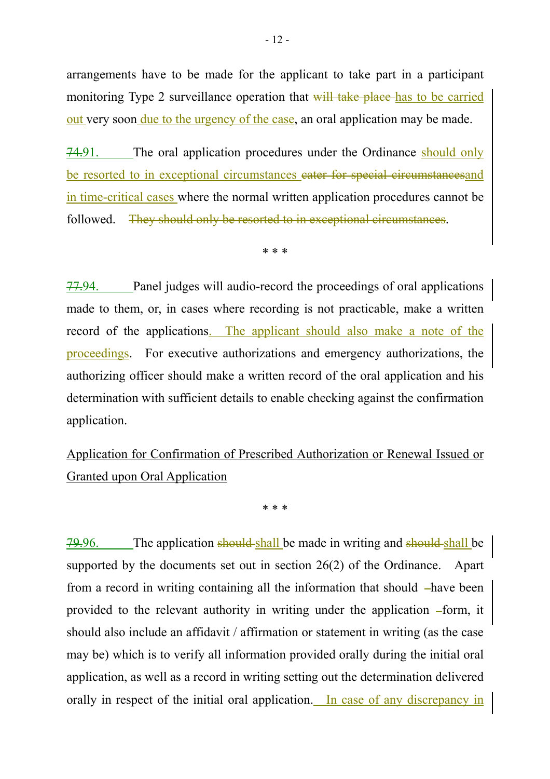arrangements have to be made for the applicant to take part in a participant monitoring Type 2 surveillance operation that will take place has to be carried out very soon <u>due to the urgency of the case</u>, an oral application may be made.

74.91. The oral application procedures under the Ordinance should only be resorted to in exceptional circumstances cater for special circumstancesand in time-critical cases where the normal written application procedures cannot be followed. They should only be resorted to in exceptional circumstances.

\* \* \*

77.94. Panel judges will audio-record the proceedings of oral applications made to them, or, in cases where recording is not practicable, make a written record of the applications. The applicant should also make a note of the proceedings. For executive authorizations and emergency authorizations, the authorizing officer should make a written record of the oral application and his determination with sufficient details to enable checking against the confirmation application.

Application for Confirmation of Prescribed Authorization or Renewal Issued or Granted upon Oral Application

\* \* \*

79.96. The application should shall be made in writing and should shall be supported by the documents set out in section 26(2) of the Ordinance. Apart from a record in writing containing all the information that should –have been provided to the relevant authority in writing under the application –form, it should also include an affidavit / affirmation or statement in writing (as the case may be) which is to verify all information provided orally during the initial oral application, as well as a record in writing setting out the determination delivered orally in respect of the initial oral application. In case of any discrepancy in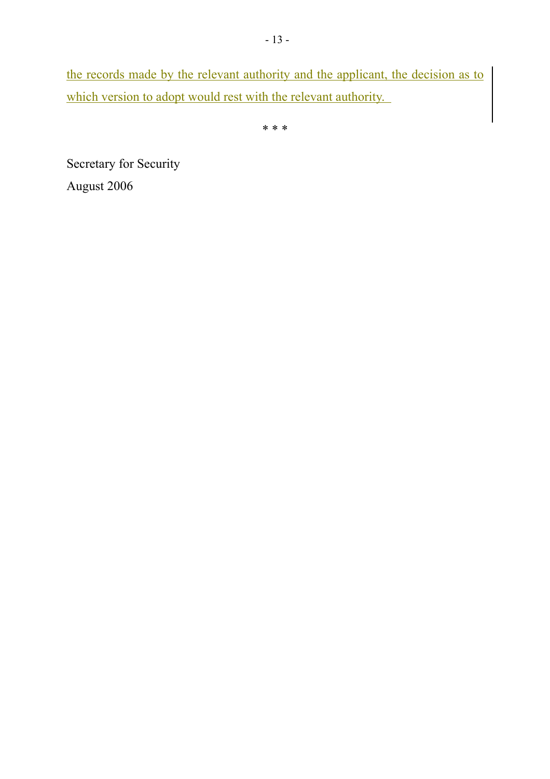the records made by the relevant authority and the applicant, the decision as to which version to adopt would rest with the relevant authority.

\* \* \*

Secretary for Security August 2006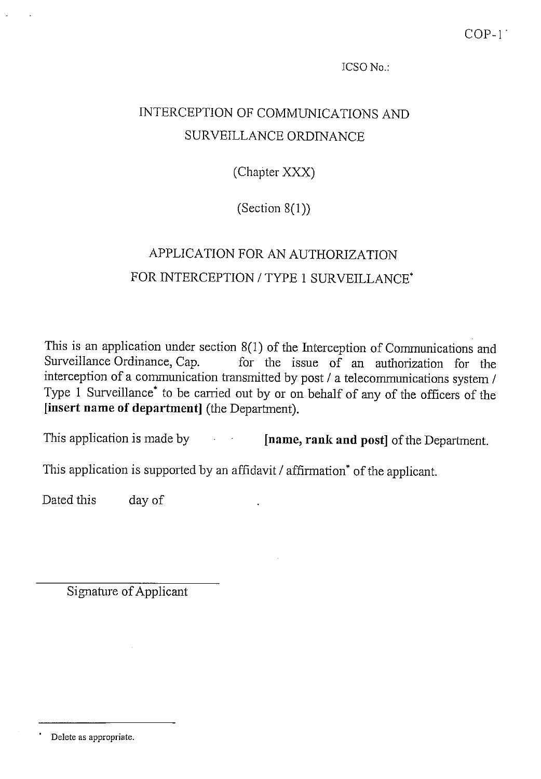# INTERCEPTION OF COMMUNICATIONS AND SURVEILLANCE ORDINANCE

(Chapter XXX)

(Section  $8(1)$ )

# APPLICATION FOR AN AUTHORIZATION FOR INTERCEPTION / TYPE 1 SURVEILLANCE\*

This is an application under section  $8(1)$  of the Interception of Communications and Surveillance Ordinance, Cap. for the issue of an authorization for the interception of a communication transmitted by post / a telecommunications system / Type 1 Surveillance<sup>\*</sup> to be carried out by or on behalf of any of the officers of the [insert name of department] (the Department).

This application is made by [name, rank and post] of the Department.

This application is supported by an affidavit / affirmation<sup>\*</sup> of the applicant.

Dated this day of

Delete as appropriate.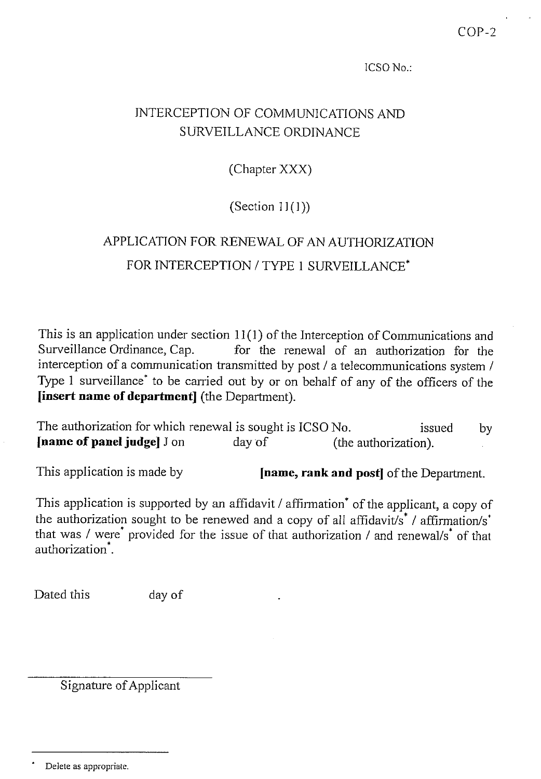## **INTERCEPTION OF COMMUNICATIONS AND** SURVEILLANCE ORDINANCE

(Chapter XXX)

(Section  $11(1)$ )

# APPLICATION FOR RENEWAL OF AN AUTHORIZATION FOR INTERCEPTION / TYPE 1 SURVEILLANCE\*

This is an application under section  $11(1)$  of the Interception of Communications and for the renewal of an authorization for the Surveillance Ordinance, Cap. interception of a communication transmitted by post / a telecommunications system / Type  $1$  surveillance<sup>\*</sup> to be carried out by or on behalf of any of the officers of the **Sinsert name of department** (the Department).

The authorization for which renewal is sought is ICSO No. issued by [name of panel judge] J on day of (the authorization).

This application is made by

**[name, rank and post]** of the Department.

This application is supported by an affidavit / affirmation<sup>\*</sup> of the applicant, a copy of the authorization sought to be renewed and a copy of all affidavit/s<sup>\*</sup> / affirmation/s<sup>\*</sup> that was / were<sup>\*</sup> provided for the issue of that authorization / and renewal/s<sup>\*</sup> of that authorization<sup>\*</sup>.

Dated this day of

Delete as appropriate.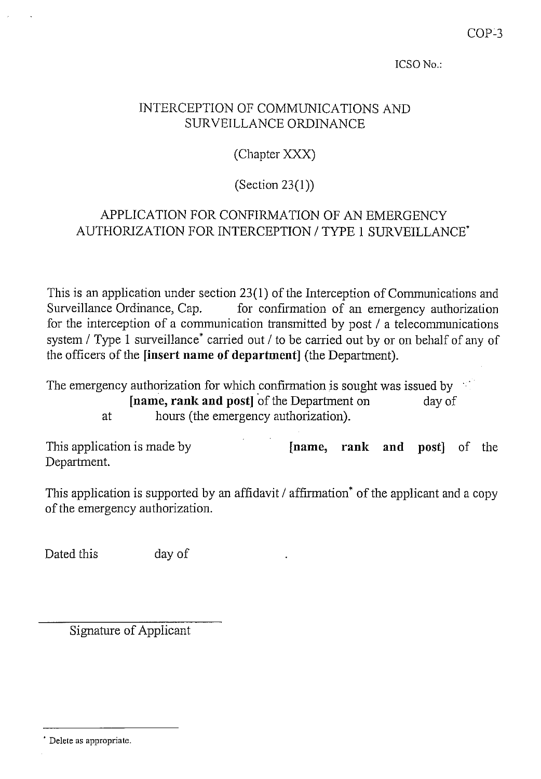### INTERCEPTION OF COMMUNICATIONS AND **SURVEILLANCE ORDINANCE**

(Chapter XXX)

(Section  $23(1)$ )

## APPLICATION FOR CONFIRMATION OF AN EMERGENCY AUTHORIZATION FOR INTERCEPTION / TYPE 1 SURVEILLANCE\*

This is an application under section 23(1) of the Interception of Communications and Surveillance Ordinance, Cap. for confirmation of an emergency authorization for the interception of a communication transmitted by post / a telecommunications system / Type 1 surveillance<sup>\*</sup> carried out / to be carried out by or on behalf of any of the officers of the *[insert name of department]* (the Department).

The emergency authorization for which confirmation is sought was issued by [name, rank and post] of the Department on day of hours (the emergency authorization). at

This application is made by [name, rank and post] of the Department.

This application is supported by an affidavit / affirmation<sup>\*</sup> of the applicant and a copy of the emergency authorization.

Dated this day of

Delete as appropriate.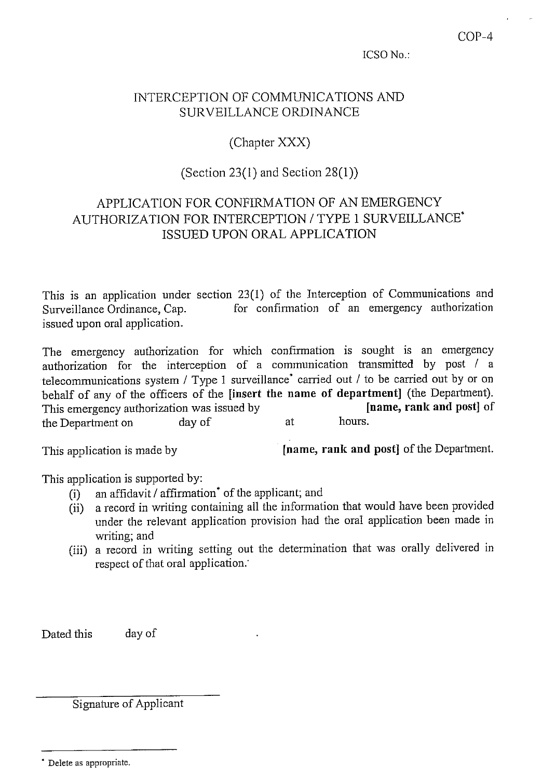#### INTERCEPTION OF COMMUNICATIONS AND SURVEILLANCE ORDINANCE

(Chapter XXX)

## (Section 23(1) and Section  $28(1)$ )

## APPLICATION FOR CONFIRMATION OF AN EMERGENCY AUTHORIZATION FOR INTERCEPTION / TYPE 1 SURVEILLANCE\* ISSUED UPON ORAL APPLICATION

This is an application under section 23(1) of the Interception of Communications and for confirmation of an emergency authorization Surveillance Ordinance, Cap. issued upon oral application.

The emergency authorization for which confirmation is sought is an emergency authorization for the interception of a communication transmitted by post / a telecommunications system / Type 1 surveillance<sup>\*</sup> carried out / to be carried out by or on behalf of any of the officers of the [insert the name of department] (the Department). This emergency authorization was issued by [name, rank and post] of hours. the Department on day of at

This application is made by

[name, rank and post] of the Department.

This application is supported by:

- an affidavit / affirmation<sup>\*</sup> of the applicant; and  $(i)$
- a record in writing containing all the information that would have been provided  $(ii)$ under the relevant application provision had the oral application been made in writing; and
- (iii) a record in writing setting out the determination that was orally delivered in respect of that oral application.

day of Dated this

<sup>\*</sup> Delete as appropriate.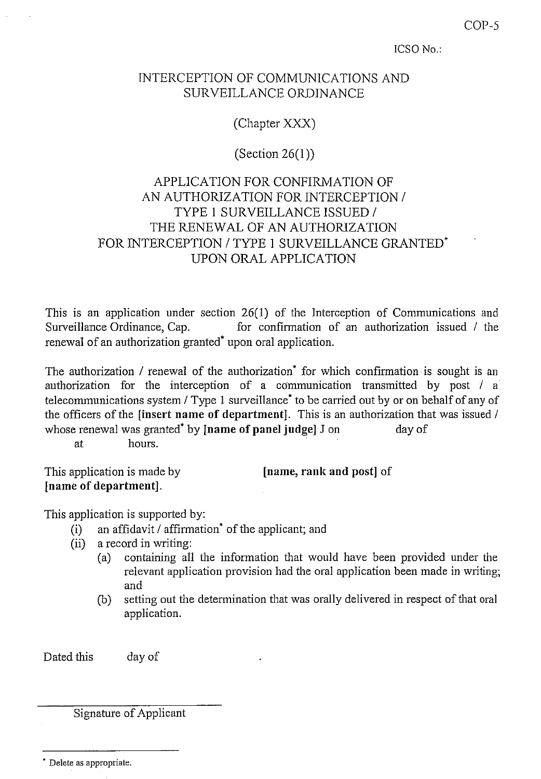$COP-5$ 

ICSO No.:

### INTERCEPTION OF COMMUNICATIONS AND **SURVEILLANCE ORDINANCE**

(Chapter XXX)

(Section  $26(1)$ )

## APPLICATION FOR CONFIRMATION OF AN AUTHORIZATION FOR INTERCEPTION / TYPE 1 SURVEILLANCE ISSUED / THE RENEWAL OF AN AUTHORIZATION FOR INTERCEPTION / TYPE 1 SURVEILLANCE GRANTED\* UPON ORAL APPLICATION

This is an application under section 26(1) of the Interception of Communications and Surveillance Ordinance, Cap. for confirmation of an authorization issued / the renewal of an authorization granted<sup>\*</sup> upon oral application.

The authorization / renewal of the authorization<sup>\*</sup> for which confirmation is sought is an authorization for the interception of a communication transmitted by post / a telecommunications system / Type 1 surveillance<sup>\*</sup> to be carried out by or on behalf of any of the officers of the linsert name of department]. This is an authorization that was issued / whose renewal was granted<sup>\*</sup> by **[name of panel judge**] J on day of hours. at

This application is made by [name of department].

[name, rank and post] of

This application is supported by:

- an affidavit / affirmation<sup>\*</sup> of the applicant; and  $(i)$
- $(ii)$ a record in writing:
	- containing all the information that would have been provided under the  $(a)$ relevant application provision had the oral application been made in writing; and
	- setting out the determination that was orally delivered in respect of that oral (b) application.

Dated this day of

<sup>\*</sup> Delete as appropriate.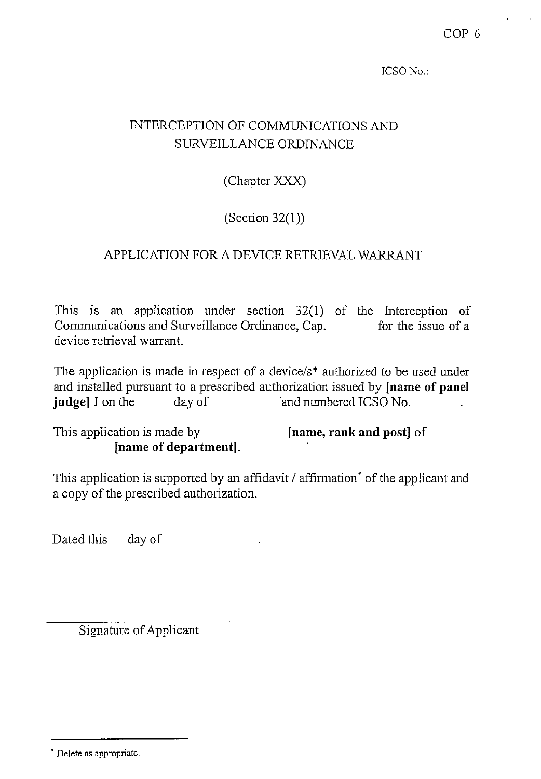## INTERCEPTION OF COMMUNICATIONS AND SURVEILLANCE ORDINANCE

(Chapter XXX)

(Section  $32(1)$ )

## APPLICATION FOR A DEVICE RETRIEVAL WARRANT

This is an application under section  $32(1)$  of the Interception of Communications and Surveillance Ordinance, Cap. for the issue of a device retrieval warrant.

The application is made in respect of a device/s\* authorized to be used under and installed pursuant to a prescribed authorization issued by [name of panel judge] J on the and numbered ICSO No. day of

This application is made by [name of department]. [name, rank and post] of

This application is supported by an affidavit / affirmation<sup>\*</sup> of the applicant and a copy of the prescribed authorization.

Dated this day of

<sup>\*</sup> Delete as appropriate.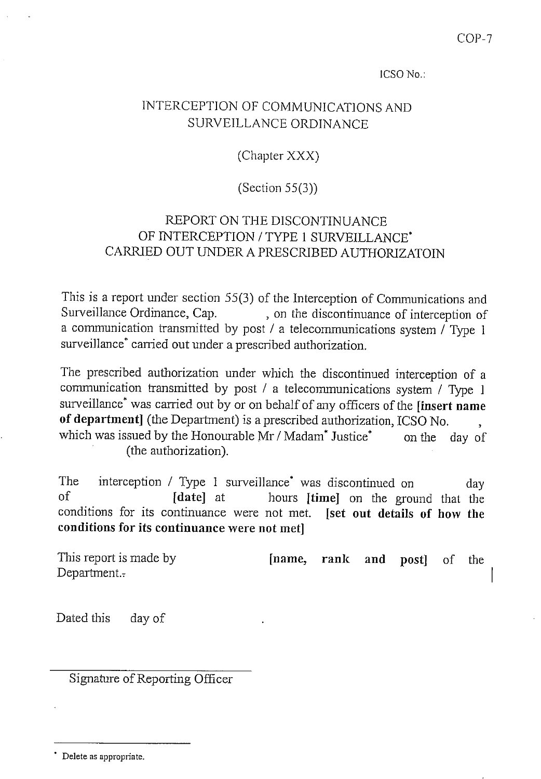## INTERCEPTION OF COMMUNICATIONS AND SURVEILLANCE ORDINANCE

(Chapter XXX)

(Section  $55(3)$ )

## REPORT ON THE DISCONTINUANCE OF INTERCEPTION / TYPE 1 SURVEILLANCE\* CARRIED OUT UNDER A PRESCRIBED AUTHORIZATOIN

This is a report under section 55(3) of the Interception of Communications and Surveillance Ordinance, Cap. , on the discontinuance of interception of a communication transmitted by post / a telecommunications system  $\sqrt{\text{Type 1}}$ surveillance<sup>\*</sup> carried out under a prescribed authorization.

The prescribed authorization under which the discontinued interception of a communication transmitted by post / a telecommunications system / Type 1 surveillance<sup>\*</sup> was carried out by or on behalf of any officers of the [insert name of department] (the Department) is a prescribed authorization, ICSO No. which was issued by the Honourable Mr / Madam\* Justice\* on the day of (the authorization).

The interception / Type 1 surveillance<sup>\*</sup> was discontinued on dav  $\alpha$ f hours [time] on the ground that the [date] at conditions for its continuance were not met. [set out details of how the conditions for its continuance were not met]

This report is made by [name, rank and post<sub>1</sub>  $\Omega$ the Department.-

Dated this day of

Signature of Reporting Officer

Delete as appropriate.